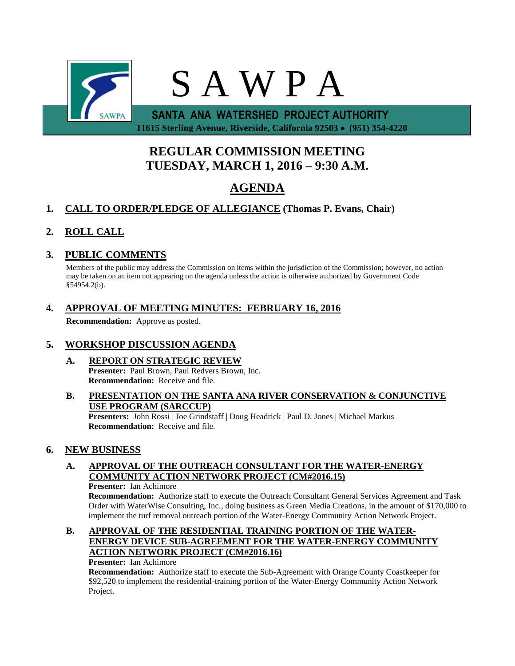

 **11615 Sterling Avenue, Riverside, California 92503 (951) 354-4220**

# **REGULAR COMMISSION MEETING TUESDAY, MARCH 1, 2016 – 9:30 A.M.**

# **AGENDA**

# **1. CALL TO ORDER/PLEDGE OF ALLEGIANCE (Thomas P. Evans, Chair)**

# **2. ROLL CALL**

# **3. PUBLIC COMMENTS**

Members of the public may address the Commission on items within the jurisdiction of the Commission; however, no action may be taken on an item not appearing on the agenda unless the action is otherwise authorized by Government Code §54954.2(b).

# **4. APPROVAL OF MEETING MINUTES: FEBRUARY 16, 2016**

**Recommendation:** Approve as posted.

# **5. WORKSHOP DISCUSSION AGENDA**

- **A. REPORT ON STRATEGIC REVIEW Presenter:** Paul Brown, Paul Redvers Brown, Inc. **Recommendation:** Receive and file.
- **B. PRESENTATION ON THE SANTA ANA RIVER CONSERVATION & CONJUNCTIVE USE PROGRAM (SARCCUP)**

**Presenters:** John Rossi | Joe Grindstaff | Doug Headrick | Paul D. Jones | Michael Markus **Recommendation:** Receive and file.

# **6. NEW BUSINESS**

# **A. APPROVAL OF THE OUTREACH CONSULTANT FOR THE WATER-ENERGY COMMUNITY ACTION NETWORK PROJECT (CM#2016.15)**

#### **Presenter:** Ian Achimore

**Recommendation:** Authorize staff to execute the Outreach Consultant General Services Agreement and Task Order with WaterWise Consulting, Inc., doing business as Green Media Creations, in the amount of \$170,000 to implement the turf removal outreach portion of the Water-Energy Community Action Network Project.

## **B. APPROVAL OF THE RESIDENTIAL TRAINING PORTION OF THE WATER-ENERGY DEVICE SUB-AGREEMENT FOR THE WATER-ENERGY COMMUNITY ACTION NETWORK PROJECT (CM#2016.16)**

**Presenter:** Ian Achimore

**Recommendation:** Authorize staff to execute the Sub-Agreement with Orange County Coastkeeper for \$92,520 to implement the residential-training portion of the Water-Energy Community Action Network Project.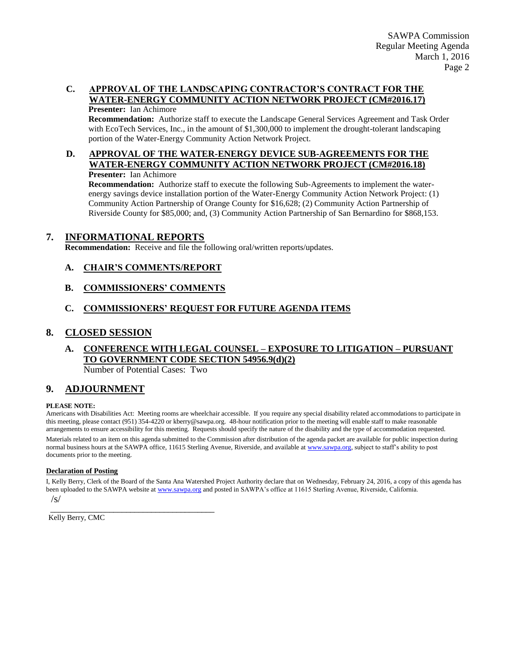# **C. APPROVAL OF THE LANDSCAPING CONTRACTOR'S CONTRACT FOR THE WATER-ENERGY COMMUNITY ACTION NETWORK PROJECT (CM#2016.17)**

**Presenter:** Ian Achimore

**Recommendation:** Authorize staff to execute the Landscape General Services Agreement and Task Order with EcoTech Services, Inc., in the amount of \$1,300,000 to implement the drought-tolerant landscaping portion of the Water-Energy Community Action Network Project.

#### **D. APPROVAL OF THE WATER-ENERGY DEVICE SUB-AGREEMENTS FOR THE WATER-ENERGY COMMUNITY ACTION NETWORK PROJECT (CM#2016.18) Presenter:** Ian Achimore

**Recommendation:** Authorize staff to execute the following Sub-Agreements to implement the waterenergy savings device installation portion of the Water-Energy Community Action Network Project: (1) Community Action Partnership of Orange County for \$16,628; (2) Community Action Partnership of Riverside County for \$85,000; and, (3) Community Action Partnership of San Bernardino for \$868,153.

## **7. INFORMATIONAL REPORTS**

**Recommendation:** Receive and file the following oral/written reports/updates.

### **A. CHAIR'S COMMENTS/REPORT**

### **B. COMMISSIONERS' COMMENTS**

## **C. COMMISSIONERS' REQUEST FOR FUTURE AGENDA ITEMS**

### **8. CLOSED SESSION**

# **A. CONFERENCE WITH LEGAL COUNSEL – EXPOSURE TO LITIGATION – PURSUANT TO GOVERNMENT CODE SECTION 54956.9(d)(2)**

Number of Potential Cases: Two

\_\_\_\_\_\_\_\_\_\_\_\_\_\_\_\_\_\_\_\_\_\_\_\_\_\_\_\_\_\_\_\_\_\_\_\_\_\_\_

### **9. ADJOURNMENT**

#### **PLEASE NOTE:**

Americans with Disabilities Act: Meeting rooms are wheelchair accessible. If you require any special disability related accommodations to participate in this meeting, please contact (951) 354-4220 or kberry@sawpa.org. 48-hour notification prior to the meeting will enable staff to make reasonable arrangements to ensure accessibility for this meeting. Requests should specify the nature of the disability and the type of accommodation requested.

Materials related to an item on this agenda submitted to the Commission after distribution of the agenda packet are available for public inspection during normal business hours at the SAWPA office, 11615 Sterling Avenue, Riverside, and available a[t www.sawpa.org,](http://www.sawpa.org/) subject to staff's ability to post documents prior to the meeting.

#### **Declaration of Posting**

I, Kelly Berry, Clerk of the Board of the Santa Ana Watershed Project Authority declare that on Wednesday, February 24, 2016, a copy of this agenda has been uploaded to the SAWPA website a[t www.sawpa.org](http://www.sawpa.org/) and posted in SAWPA's office at 11615 Sterling Avenue, Riverside, California.

 $\sqrt{s}$ 

Kelly Berry, CMC